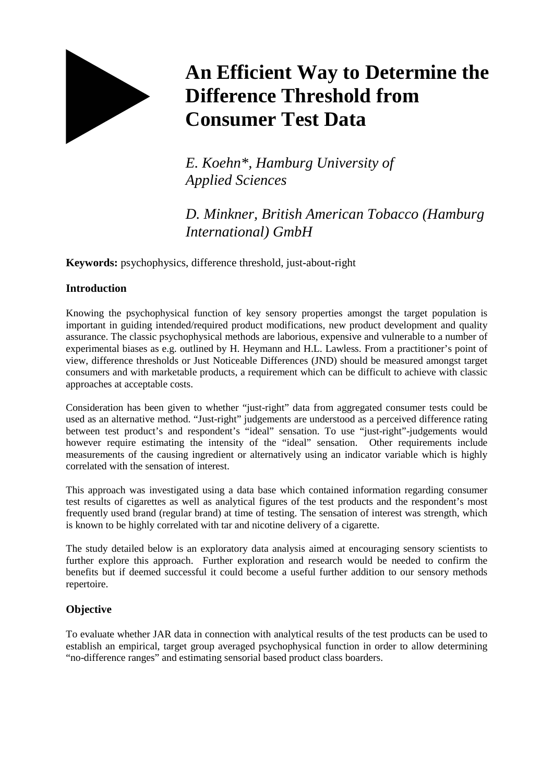

# **An Efficient Way to Determine the Difference Threshold from Consumer Test Data**

*E. Koehn\*, Hamburg University of Applied Sciences* 

# *D. Minkner, British American Tobacco (Hamburg International) GmbH*

**Keywords:** psychophysics, difference threshold, just-about-right

### **Introduction**

Knowing the psychophysical function of key sensory properties amongst the target population is important in guiding intended/required product modifications, new product development and quality assurance. The classic psychophysical methods are laborious, expensive and vulnerable to a number of experimental biases as e.g. outlined by H. Heymann and H.L. Lawless. From a practitioner's point of view, difference thresholds or Just Noticeable Differences (JND) should be measured amongst target consumers and with marketable products, a requirement which can be difficult to achieve with classic approaches at acceptable costs.

Consideration has been given to whether "just-right" data from aggregated consumer tests could be used as an alternative method. "Just-right" judgements are understood as a perceived difference rating between test product's and respondent's "ideal" sensation. To use "just-right"-judgements would however require estimating the intensity of the "ideal" sensation. Other requirements include measurements of the causing ingredient or alternatively using an indicator variable which is highly correlated with the sensation of interest.

This approach was investigated using a data base which contained information regarding consumer test results of cigarettes as well as analytical figures of the test products and the respondent's most frequently used brand (regular brand) at time of testing. The sensation of interest was strength, which is known to be highly correlated with tar and nicotine delivery of a cigarette.

The study detailed below is an exploratory data analysis aimed at encouraging sensory scientists to further explore this approach. Further exploration and research would be needed to confirm the benefits but if deemed successful it could become a useful further addition to our sensory methods repertoire.

## **Objective**

To evaluate whether JAR data in connection with analytical results of the test products can be used to establish an empirical, target group averaged psychophysical function in order to allow determining "no-difference ranges" and estimating sensorial based product class boarders.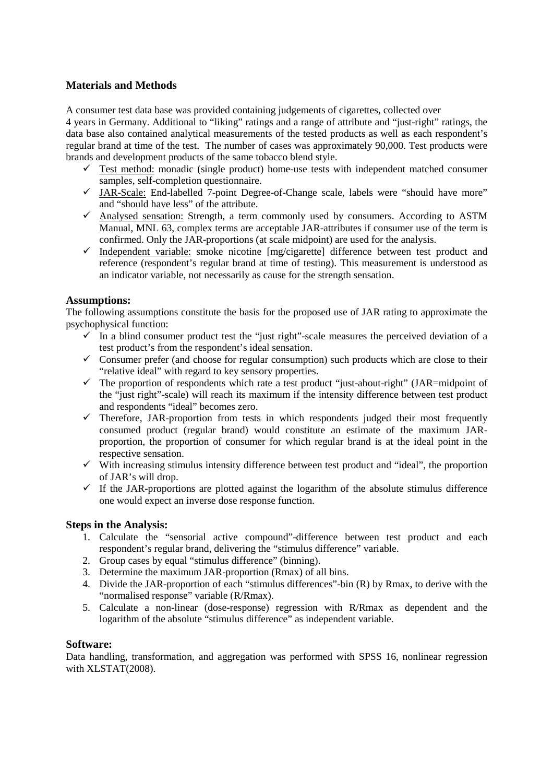#### **Materials and Methods**

A consumer test data base was provided containing judgements of cigarettes, collected over

4 years in Germany. Additional to "liking" ratings and a range of attribute and "just-right" ratings, the data base also contained analytical measurements of the tested products as well as each respondent's regular brand at time of the test. The number of cases was approximately 90,000. Test products were brands and development products of the same tobacco blend style.

- $\checkmark$  Test method: monadic (single product) home-use tests with independent matched consumer samples, self-completion questionnaire.
- $\checkmark$  JAR-Scale: End-labelled 7-point Degree-of-Change scale, labels were "should have more" and "should have less" of the attribute.
- Analysed sensation: Strength, a term commonly used by consumers. According to ASTM Manual, MNL 63, complex terms are acceptable JAR-attributes if consumer use of the term is confirmed. Only the JAR-proportions (at scale midpoint) are used for the analysis.
- $\checkmark$  Independent variable: smoke nicotine [mg/cigarette] difference between test product and reference (respondent's regular brand at time of testing). This measurement is understood as an indicator variable, not necessarily as cause for the strength sensation.

#### **Assumptions:**

The following assumptions constitute the basis for the proposed use of JAR rating to approximate the psychophysical function:

- $\checkmark$  In a blind consumer product test the "just right"-scale measures the perceived deviation of a test product's from the respondent's ideal sensation.
- $\checkmark$  Consumer prefer (and choose for regular consumption) such products which are close to their "relative ideal" with regard to key sensory properties.
- $\checkmark$  The proportion of respondents which rate a test product "just-about-right" (JAR=midpoint of the "just right"-scale) will reach its maximum if the intensity difference between test product and respondents "ideal" becomes zero.
- $\checkmark$  Therefore, JAR-proportion from tests in which respondents judged their most frequently consumed product (regular brand) would constitute an estimate of the maximum JARproportion, the proportion of consumer for which regular brand is at the ideal point in the respective sensation.
- $\checkmark$  With increasing stimulus intensity difference between test product and "ideal", the proportion of JAR's will drop.
- $\checkmark$  If the JAR-proportions are plotted against the logarithm of the absolute stimulus difference one would expect an inverse dose response function.

#### **Steps in the Analysis:**

- 1. Calculate the "sensorial active compound"-difference between test product and each respondent's regular brand, delivering the "stimulus difference" variable.
- 2. Group cases by equal "stimulus difference" (binning).
- 3. Determine the maximum JAR-proportion (Rmax) of all bins.
- 4. Divide the JAR-proportion of each "stimulus differences"-bin (R) by Rmax, to derive with the "normalised response" variable (R/Rmax).
- 5. Calculate a non-linear (dose-response) regression with R/Rmax as dependent and the logarithm of the absolute "stimulus difference" as independent variable.

#### **Software:**

Data handling, transformation, and aggregation was performed with SPSS 16, nonlinear regression with XLSTAT(2008).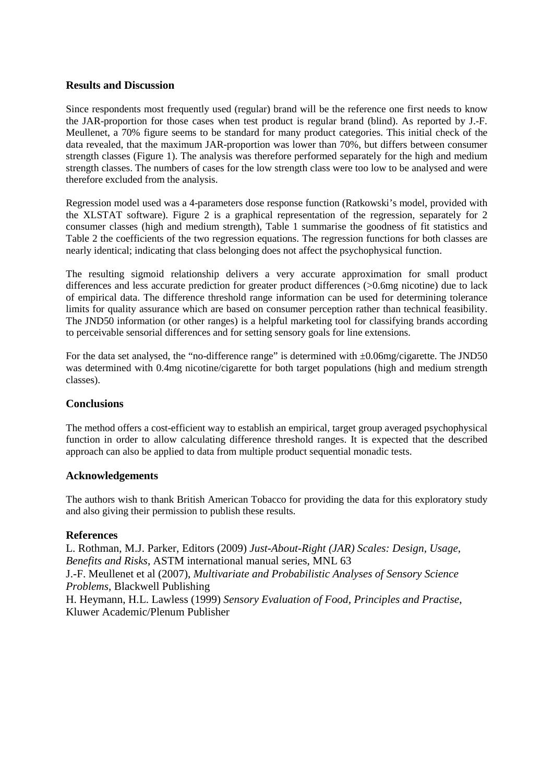#### **Results and Discussion**

Since respondents most frequently used (regular) brand will be the reference one first needs to know the JAR-proportion for those cases when test product is regular brand (blind). As reported by J.-F. Meullenet, a 70% figure seems to be standard for many product categories. This initial check of the data revealed, that the maximum JAR-proportion was lower than 70%, but differs between consumer strength classes (Figure 1). The analysis was therefore performed separately for the high and medium strength classes. The numbers of cases for the low strength class were too low to be analysed and were therefore excluded from the analysis.

Regression model used was a 4-parameters dose response function (Ratkowski's model, provided with the XLSTAT software). Figure 2 is a graphical representation of the regression, separately for 2 consumer classes (high and medium strength), Table 1 summarise the goodness of fit statistics and Table 2 the coefficients of the two regression equations. The regression functions for both classes are nearly identical; indicating that class belonging does not affect the psychophysical function.

The resulting sigmoid relationship delivers a very accurate approximation for small product differences and less accurate prediction for greater product differences (>0.6mg nicotine) due to lack of empirical data. The difference threshold range information can be used for determining tolerance limits for quality assurance which are based on consumer perception rather than technical feasibility. The JND50 information (or other ranges) is a helpful marketing tool for classifying brands according to perceivable sensorial differences and for setting sensory goals for line extensions.

For the data set analysed, the "no-difference range" is determined with  $\pm 0.06$ mg/cigarette. The JND50 was determined with 0.4mg nicotine/cigarette for both target populations (high and medium strength classes).

#### **Conclusions**

The method offers a cost-efficient way to establish an empirical, target group averaged psychophysical function in order to allow calculating difference threshold ranges. It is expected that the described approach can also be applied to data from multiple product sequential monadic tests.

#### **Acknowledgements**

The authors wish to thank British American Tobacco for providing the data for this exploratory study and also giving their permission to publish these results.

#### **References**

L. Rothman, M.J. Parker, Editors (2009) *Just-About-Right (JAR) Scales: Design, Usage, Benefits and Risks*, ASTM international manual series, MNL 63 J.-F. Meullenet et al (2007), *Multivariate and Probabilistic Analyses of Sensory Science Problems*, Blackwell Publishing H. Heymann, H.L. Lawless (1999) *Sensory Evaluation of Food, Principles and Practise*, Kluwer Academic/Plenum Publisher